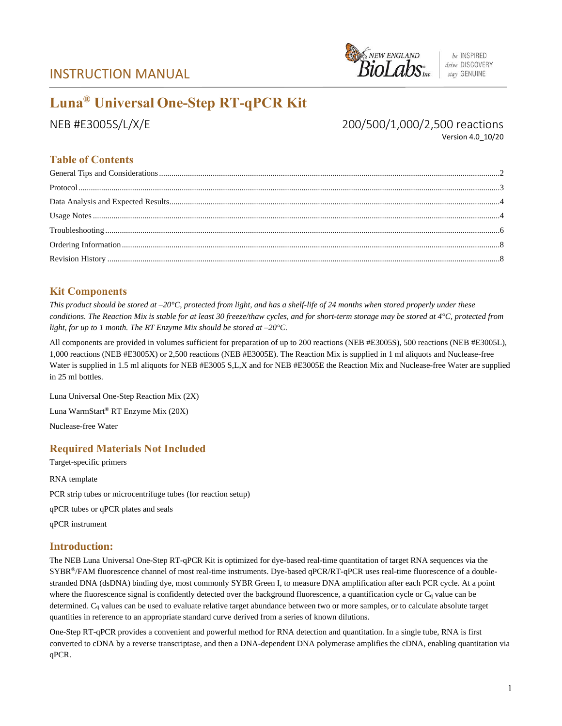## INSTRUCTION MANUAL



# **Luna® Universal One-Step RT-qPCR Kit**

NEB #E3005S/L/X/E 200/500/1,000/2,500 reactions Version 4.0\_10/20

## **Table of Contents**

## **Kit Components**

*This product should be stored at –20°C, protected from light, and has a shelf-life of 24 months when stored properly under these conditions. The Reaction Mix is stable for at least 30 freeze/thaw cycles, and for short-term storage may be stored at 4°C, protected from light, for up to 1 month. The RT Enzyme Mix should be stored at –20°C.*

All components are provided in volumes sufficient for preparation of up to 200 reactions (NEB #E3005S), 500 reactions (NEB #E3005L), 1,000 reactions (NEB #E3005X) or 2,500 reactions (NEB #E3005E). The Reaction Mix is supplied in 1 ml aliquots and Nuclease-free Water is supplied in 1.5 ml aliquots for NEB #E3005 S,L,X and for NEB #E3005E the Reaction Mix and Nuclease-free Water are supplied in 25 ml bottles.

Luna Universal One-Step Reaction Mix (2X) Luna WarmStart® RT Enzyme Mix (20X) Nuclease-free Water

## **Required Materials Not Included**

Target-specific primers RNA template PCR strip tubes or microcentrifuge tubes (for reaction setup) qPCR tubes or qPCR plates and seals qPCR instrument

## **Introduction:**

The NEB Luna Universal One-Step RT-qPCR Kit is optimized for dye-based real-time quantitation of target RNA sequences via the SYBR®/FAM fluorescence channel of most real-time instruments. Dye-based qPCR/RT-qPCR uses real-time fluorescence of a doublestranded DNA (dsDNA) binding dye, most commonly SYBR Green I, to measure DNA amplification after each PCR cycle. At a point where the fluorescence signal is confidently detected over the background fluorescence, a quantification cycle or C<sub>q</sub> value can be determined. C<sup>q</sup> values can be used to evaluate relative target abundance between two or more samples, or to calculate absolute target quantities in reference to an appropriate standard curve derived from a series of known dilutions.

One-Step RT-qPCR provides a convenient and powerful method for RNA detection and quantitation. In a single tube, RNA is first converted to cDNA by a reverse transcriptase, and then a DNA-dependent DNA polymerase amplifies the cDNA, enabling quantitation via qPCR.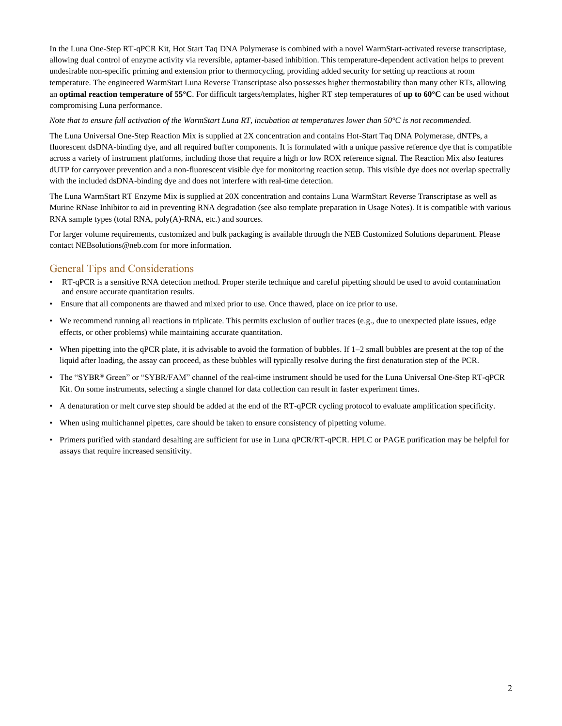In the Luna One-Step RT-qPCR Kit, Hot Start Taq DNA Polymerase is combined with a novel WarmStart-activated reverse transcriptase, allowing dual control of enzyme activity via reversible, aptamer-based inhibition. This temperature-dependent activation helps to prevent undesirable non-specific priming and extension prior to thermocycling, providing added security for setting up reactions at room temperature. The engineered WarmStart Luna Reverse Transcriptase also possesses higher thermostability than many other RTs, allowing an **optimal reaction temperature of 55°C**. For difficult targets/templates, higher RT step temperatures of **up to 60°C** can be used without compromising Luna performance.

*Note that to ensure full activation of the WarmStart Luna RT, incubation at temperatures lower than 50°C is not recommended.*

The Luna Universal One-Step Reaction Mix is supplied at 2X concentration and contains Hot-Start Taq DNA Polymerase, dNTPs, a fluorescent dsDNA-binding dye, and all required buffer components. It is formulated with a unique passive reference dye that is compatible across a variety of instrument platforms, including those that require a high or low ROX reference signal. The Reaction Mix also features dUTP for carryover prevention and a non-fluorescent visible dye for monitoring reaction setup. This visible dye does not overlap spectrally with the included dsDNA-binding dye and does not interfere with real-time detection.

The Luna WarmStart RT Enzyme Mix is supplied at 20X concentration and contains Luna WarmStart Reverse Transcriptase as well as Murine RNase Inhibitor to aid in preventing RNA degradation (see also template preparation in Usage Notes). It is compatible with various RNA sample types (total RNA, poly(A)-RNA, etc.) and sources.

For larger volume requirements, customized and bulk packaging is available through the NEB Customized Solutions department. Please contact NEBsolutions@neb.com for more information.

#### General Tips and Considerations

- RT-qPCR is a sensitive RNA detection method. Proper sterile technique and careful pipetting should be used to avoid contamination and ensure accurate quantitation results.
- Ensure that all components are thawed and mixed prior to use. Once thawed, place on ice prior to use.
- We recommend running all reactions in triplicate. This permits exclusion of outlier traces (e.g., due to unexpected plate issues, edge effects, or other problems) while maintaining accurate quantitation.
- When pipetting into the qPCR plate, it is advisable to avoid the formation of bubbles. If  $1-2$  small bubbles are present at the top of the liquid after loading, the assay can proceed, as these bubbles will typically resolve during the first denaturation step of the PCR.
- The "SYBR® Green" or "SYBR/FAM" channel of the real-time instrument should be used for the Luna Universal One-Step RT-qPCR Kit. On some instruments, selecting a single channel for data collection can result in faster experiment times.
- A denaturation or melt curve step should be added at the end of the RT-qPCR cycling protocol to evaluate amplification specificity.
- When using multichannel pipettes, care should be taken to ensure consistency of pipetting volume.
- Primers purified with standard desalting are sufficient for use in Luna qPCR/RT-qPCR. HPLC or PAGE purification may be helpful for assays that require increased sensitivity.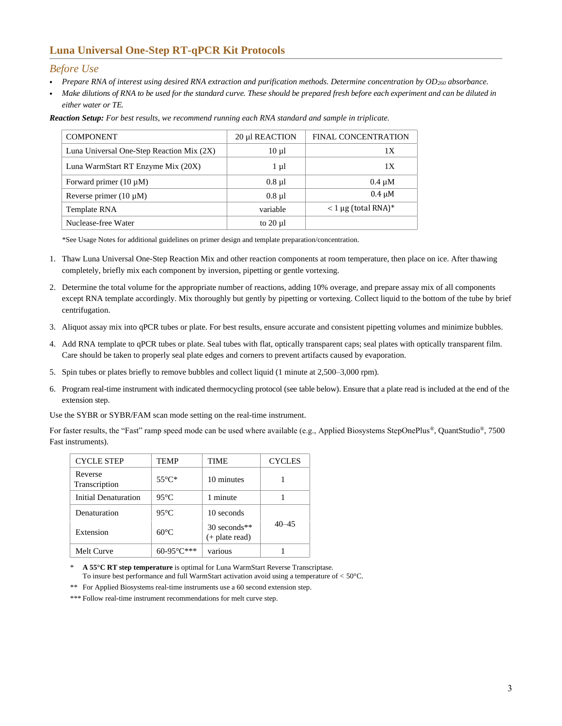## **Luna Universal One-Step RT-qPCR Kit Protocols**

#### *Before Use*

- *Prepare RNA of interest using desired RNA extraction and purification methods. Determine concentration by OD<sup>260</sup> absorbance.*
- *Make dilutions of RNA to be used for the standard curve. These should be prepared fresh before each experiment and can be diluted in either water or TE.*

| <b>COMPONENT</b>                          | 20 µl REACTION | <b>FINAL CONCENTRATION</b> |
|-------------------------------------------|----------------|----------------------------|
| Luna Universal One-Step Reaction Mix (2X) | $10 \mu l$     | 1Х                         |
| Luna WarmStart RT Enzyme Mix (20X)        | $1 \mu l$      | 1X                         |
| Forward primer $(10 \mu M)$               | $0.8 \mu l$    | $0.4 \mu M$                |
| Reverse primer $(10 \mu M)$               | $0.8 \mu l$    | $0.4 \mu M$                |
| Template RNA                              | variable       | $< 1 \mu$ g (total RNA)*   |
| Nuclease-free Water                       | to $20 \mu l$  |                            |

*Reaction Setup: For best results, we recommend running each RNA standard and sample in triplicate.*

\*See Usage Notes for additional guidelines on primer design and template preparation/concentration.

- 1. Thaw Luna Universal One-Step Reaction Mix and other reaction components at room temperature, then place on ice. After thawing completely, briefly mix each component by inversion, pipetting or gentle vortexing.
- 2. Determine the total volume for the appropriate number of reactions, adding 10% overage, and prepare assay mix of all components except RNA template accordingly. Mix thoroughly but gently by pipetting or vortexing. Collect liquid to the bottom of the tube by brief centrifugation.
- 3. Aliquot assay mix into qPCR tubes or plate. For best results, ensure accurate and consistent pipetting volumes and minimize bubbles.
- 4. Add RNA template to qPCR tubes or plate. Seal tubes with flat, optically transparent caps; seal plates with optically transparent film. Care should be taken to properly seal plate edges and corners to prevent artifacts caused by evaporation.
- 5. Spin tubes or plates briefly to remove bubbles and collect liquid (1 minute at 2,500–3,000 rpm).
- 6. Program real-time instrument with indicated thermocycling protocol (see table below). Ensure that a plate read is included at the end of the extension step.

Use the SYBR or SYBR/FAM scan mode setting on the real-time instrument.

For faster results, the "Fast" ramp speed mode can be used where available (e.g., Applied Biosystems StepOnePlus®, QuantStudio®, 7500 Fast instruments).

| <b>CYCLE STEP</b>        | TEMP            | <b>TIME</b>                      | <b>CYCLES</b> |
|--------------------------|-----------------|----------------------------------|---------------|
| Reverse<br>Transcription | $55^{\circ}$ C* | 10 minutes                       |               |
| Initial Denaturation     | $95^{\circ}$ C  | 1 minute                         |               |
| Denaturation             | $95^{\circ}$ C  | 10 seconds                       |               |
| Extension                | $60^{\circ}$ C  | 30 seconds**<br>$(+$ plate read) | 40–45         |
| Melt Curve               | $60 - 95^\circ$ | various                          |               |

A 55°C RT step temperature is optimal for Luna WarmStart Reverse Transcriptase. To insure best performance and full WarmStart activation avoid using a temperature of < 50°C.

\*\* For Applied Biosystems real-time instruments use a 60 second extension step.

\*\*\* Follow real-time instrument recommendations for melt curve step.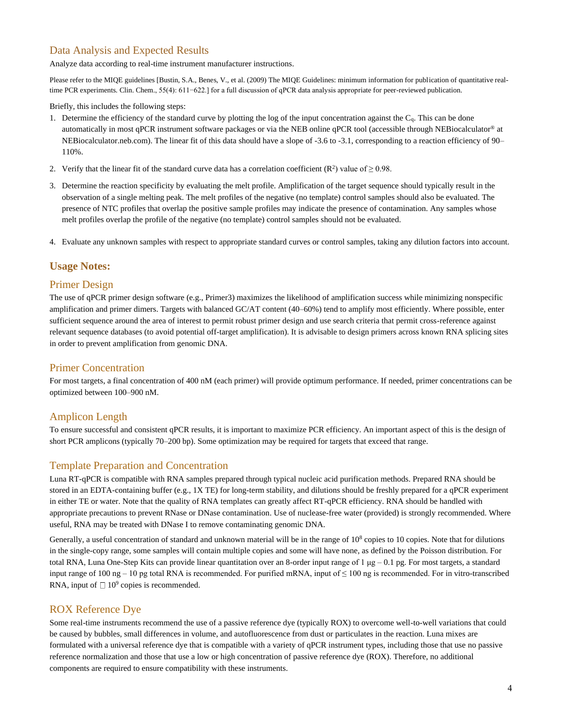## Data Analysis and Expected Results

Analyze data according to real-time instrument manufacturer instructions.

Please refer to the MIQE guidelines [Bustin, S.A., Benes, V., et al. (2009) The MIQE Guidelines: minimum information for publication of quantitative realtime PCR experiments. Clin. Chem., 55(4): 611−622.] for a full discussion of qPCR data analysis appropriate for peer-reviewed publication.

Briefly, this includes the following steps:

- 1. Determine the efficiency of the standard curve by plotting the log of the input concentration against the Cq. This can be done automatically in most qPCR instrument software packages or via the NEB online qPCR tool (accessible through NEBiocalculator® at NEBiocalculator.neb.com). The linear fit of this data should have a slope of -3.6 to -3.1, corresponding to a reaction efficiency of 90– 110%.
- 2. Verify that the linear fit of the standard curve data has a correlation coefficient  $(R^2)$  value of  $\geq 0.98$ .
- 3. Determine the reaction specificity by evaluating the melt profile. Amplification of the target sequence should typically result in the observation of a single melting peak. The melt profiles of the negative (no template) control samples should also be evaluated. The presence of NTC profiles that overlap the positive sample profiles may indicate the presence of contamination. Any samples whose melt profiles overlap the profile of the negative (no template) control samples should not be evaluated.
- 4. Evaluate any unknown samples with respect to appropriate standard curves or control samples, taking any dilution factors into account.

#### **Usage Notes:**

#### Primer Design

The use of qPCR primer design software (e.g., Primer3) maximizes the likelihood of amplification success while minimizing nonspecific amplification and primer dimers. Targets with balanced GC/AT content (40–60%) tend to amplify most efficiently. Where possible, enter sufficient sequence around the area of interest to permit robust primer design and use search criteria that permit cross-reference against relevant sequence databases (to avoid potential off-target amplification). It is advisable to design primers across known RNA splicing sites in order to prevent amplification from genomic DNA.

#### Primer Concentration

For most targets, a final concentration of 400 nM (each primer) will provide optimum performance. If needed, primer concentrations can be optimized between 100–900 nM.

#### Amplicon Length

To ensure successful and consistent qPCR results, it is important to maximize PCR efficiency. An important aspect of this is the design of short PCR amplicons (typically 70–200 bp). Some optimization may be required for targets that exceed that range.

#### Template Preparation and Concentration

Luna RT-qPCR is compatible with RNA samples prepared through typical nucleic acid purification methods. Prepared RNA should be stored in an EDTA-containing buffer (e.g., 1X TE) for long-term stability, and dilutions should be freshly prepared for a qPCR experiment in either TE or water. Note that the quality of RNA templates can greatly affect RT-qPCR efficiency. RNA should be handled with appropriate precautions to prevent RNase or DNase contamination. Use of nuclease-free water (provided) is strongly recommended. Where useful, RNA may be treated with DNase I to remove contaminating genomic DNA.

Generally, a useful concentration of standard and unknown material will be in the range of  $10<sup>8</sup>$  copies to 10 copies. Note that for dilutions in the single-copy range, some samples will contain multiple copies and some will have none, as defined by the Poisson distribution. For total RNA, Luna One-Step Kits can provide linear quantitation over an 8-order input range of 1 μg – 0.1 pg. For most targets, a standard input range of 100 ng – 10 pg total RNA is recommended. For purified mRNA, input of  $\leq 100$  ng is recommended. For in vitro-transcribed RNA, input of  $\Box$  10<sup>9</sup> copies is recommended.

#### ROX Reference Dye

Some real-time instruments recommend the use of a passive reference dye (typically ROX) to overcome well-to-well variations that could be caused by bubbles, small differences in volume, and autofluorescence from dust or particulates in the reaction. Luna mixes are formulated with a universal reference dye that is compatible with a variety of qPCR instrument types, including those that use no passive reference normalization and those that use a low or high concentration of passive reference dye (ROX). Therefore, no additional components are required to ensure compatibility with these instruments.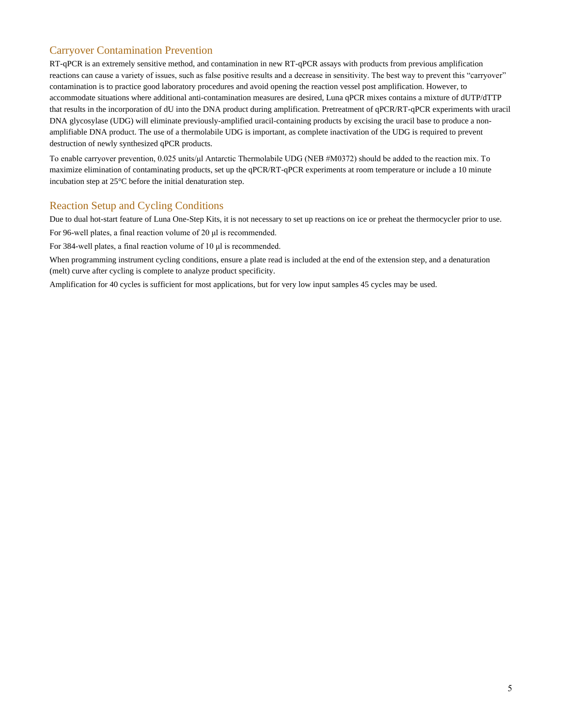## Carryover Contamination Prevention

RT-qPCR is an extremely sensitive method, and contamination in new RT-qPCR assays with products from previous amplification reactions can cause a variety of issues, such as false positive results and a decrease in sensitivity. The best way to prevent this "carryover" contamination is to practice good laboratory procedures and avoid opening the reaction vessel post amplification. However, to accommodate situations where additional anti-contamination measures are desired, Luna qPCR mixes contains a mixture of dUTP/dTTP that results in the incorporation of dU into the DNA product during amplification. Pretreatment of qPCR/RT-qPCR experiments with uracil DNA glycosylase (UDG) will eliminate previously-amplified uracil-containing products by excising the uracil base to produce a nonamplifiable DNA product. The use of a thermolabile UDG is important, as complete inactivation of the UDG is required to prevent destruction of newly synthesized qPCR products.

To enable carryover prevention, 0.025 units/μl Antarctic Thermolabile UDG (NEB #M0372) should be added to the reaction mix. To maximize elimination of contaminating products, set up the qPCR/RT-qPCR experiments at room temperature or include a 10 minute incubation step at 25°C before the initial denaturation step.

#### Reaction Setup and Cycling Conditions

Due to dual hot-start feature of Luna One-Step Kits, it is not necessary to set up reactions on ice or preheat the thermocycler prior to use.

For 96-well plates, a final reaction volume of 20 μl is recommended.

For 384-well plates, a final reaction volume of 10 μl is recommended.

When programming instrument cycling conditions, ensure a plate read is included at the end of the extension step, and a denaturation (melt) curve after cycling is complete to analyze product specificity.

Amplification for 40 cycles is sufficient for most applications, but for very low input samples 45 cycles may be used.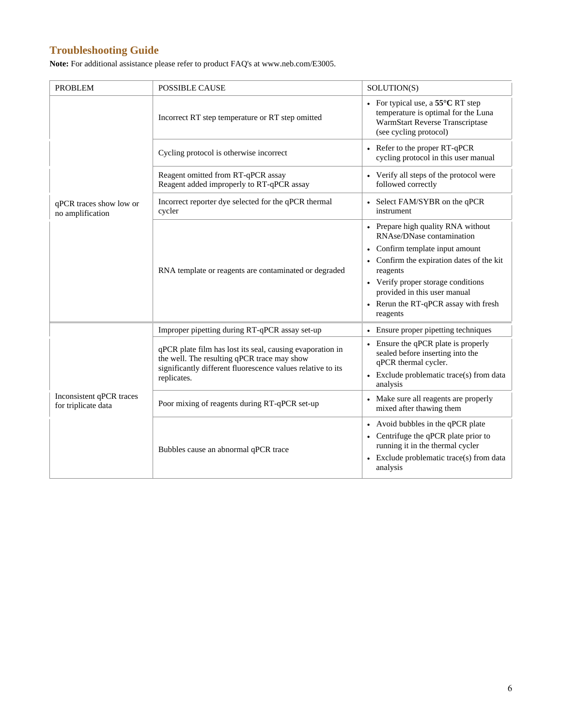## **Troubleshooting Guide**

**Note:** For additional assistance please refer to product FAQ's at www.neb.com/E3005.

| <b>PROBLEM</b>                                  | <b>POSSIBLE CAUSE</b>                                                                                                                                                                  | SOLUTION(S)                                                                                                                                                                                                                                                                                    |
|-------------------------------------------------|----------------------------------------------------------------------------------------------------------------------------------------------------------------------------------------|------------------------------------------------------------------------------------------------------------------------------------------------------------------------------------------------------------------------------------------------------------------------------------------------|
|                                                 | Incorrect RT step temperature or RT step omitted                                                                                                                                       | • For typical use, a $55^{\circ}$ C RT step<br>temperature is optimal for the Luna<br>WarmStart Reverse Transcriptase<br>(see cycling protocol)                                                                                                                                                |
|                                                 | Cycling protocol is otherwise incorrect                                                                                                                                                | Refer to the proper RT-qPCR<br>cycling protocol in this user manual                                                                                                                                                                                                                            |
|                                                 | Reagent omitted from RT-qPCR assay<br>Reagent added improperly to RT-qPCR assay                                                                                                        | Verify all steps of the protocol were<br>followed correctly                                                                                                                                                                                                                                    |
| qPCR traces show low or<br>no amplification     | Incorrect reporter dye selected for the qPCR thermal<br>cycler                                                                                                                         | Select FAM/SYBR on the qPCR<br>instrument                                                                                                                                                                                                                                                      |
|                                                 | RNA template or reagents are contaminated or degraded                                                                                                                                  | Prepare high quality RNA without<br>RNAse/DNase contamination<br>Confirm template input amount<br>$\bullet$<br>• Confirm the expiration dates of the kit<br>reagents<br>• Verify proper storage conditions<br>provided in this user manual<br>• Rerun the RT-qPCR assay with fresh<br>reagents |
|                                                 | Improper pipetting during RT-qPCR assay set-up                                                                                                                                         | Ensure proper pipetting techniques                                                                                                                                                                                                                                                             |
| Inconsistent qPCR traces<br>for triplicate data | qPCR plate film has lost its seal, causing evaporation in<br>the well. The resulting qPCR trace may show<br>significantly different fluorescence values relative to its<br>replicates. | • Ensure the qPCR plate is properly<br>sealed before inserting into the<br>qPCR thermal cycler.<br>• Exclude problematic trace(s) from data<br>analysis                                                                                                                                        |
|                                                 | Poor mixing of reagents during RT-qPCR set-up                                                                                                                                          | Make sure all reagents are properly<br>mixed after thawing them                                                                                                                                                                                                                                |
|                                                 | Bubbles cause an abnormal qPCR trace                                                                                                                                                   | Avoid bubbles in the qPCR plate<br>Centrifuge the qPCR plate prior to<br>running it in the thermal cycler<br>Exclude problematic trace(s) from data<br>analysis                                                                                                                                |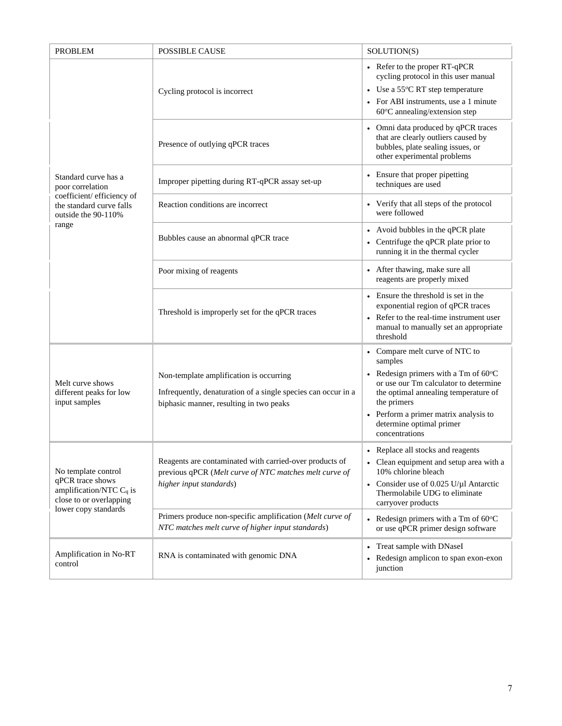| <b>PROBLEM</b>                                                                                                           | <b>POSSIBLE CAUSE</b>                                                                                                                               | SOLUTION(S)                                                                                                                                                                                                                                                                        |
|--------------------------------------------------------------------------------------------------------------------------|-----------------------------------------------------------------------------------------------------------------------------------------------------|------------------------------------------------------------------------------------------------------------------------------------------------------------------------------------------------------------------------------------------------------------------------------------|
|                                                                                                                          | Cycling protocol is incorrect                                                                                                                       | • Refer to the proper RT-qPCR<br>cycling protocol in this user manual<br>• Use a 55°C RT step temperature<br>• For ABI instruments, use a 1 minute<br>60°C annealing/extension step                                                                                                |
|                                                                                                                          | Presence of outlying qPCR traces                                                                                                                    | Omni data produced by qPCR traces<br>that are clearly outliers caused by<br>bubbles, plate sealing issues, or<br>other experimental problems                                                                                                                                       |
| Standard curve has a<br>poor correlation                                                                                 | Improper pipetting during RT-qPCR assay set-up                                                                                                      | Ensure that proper pipetting<br>techniques are used                                                                                                                                                                                                                                |
| coefficient/ efficiency of<br>the standard curve falls<br>outside the 90-110%                                            | Reaction conditions are incorrect                                                                                                                   | Verify that all steps of the protocol<br>were followed                                                                                                                                                                                                                             |
| range                                                                                                                    | Bubbles cause an abnormal qPCR trace                                                                                                                | Avoid bubbles in the qPCR plate<br>Centrifuge the qPCR plate prior to<br>running it in the thermal cycler                                                                                                                                                                          |
|                                                                                                                          | Poor mixing of reagents                                                                                                                             | After thawing, make sure all<br>reagents are properly mixed                                                                                                                                                                                                                        |
|                                                                                                                          | Threshold is improperly set for the qPCR traces                                                                                                     | Ensure the threshold is set in the<br>$\bullet$<br>exponential region of qPCR traces<br>Refer to the real-time instrument user<br>manual to manually set an appropriate<br>threshold                                                                                               |
| Melt curve shows<br>different peaks for low<br>input samples                                                             | Non-template amplification is occurring<br>Infrequently, denaturation of a single species can occur in a<br>biphasic manner, resulting in two peaks | • Compare melt curve of NTC to<br>samples<br>• Redesign primers with a Tm of $60^{\circ}$ C<br>or use our Tm calculator to determine<br>the optimal annealing temperature of<br>the primers<br>• Perform a primer matrix analysis to<br>determine optimal primer<br>concentrations |
| No template control<br>qPCR trace shows<br>amplification/NTC $C_q$ is<br>close to or overlapping<br>lower copy standards | Reagents are contaminated with carried-over products of<br>previous qPCR (Melt curve of NTC matches melt curve of<br>higher input standards)        | • Replace all stocks and reagents<br>• Clean equipment and setup area with a<br>10% chlorine bleach<br>Consider use of 0.025 U/µl Antarctic<br>Thermolabile UDG to eliminate<br>carryover products                                                                                 |
|                                                                                                                          | Primers produce non-specific amplification (Melt curve of<br>NTC matches melt curve of higher input standards)                                      | Redesign primers with a Tm of 60°C<br>or use qPCR primer design software                                                                                                                                                                                                           |
| Amplification in No-RT<br>control                                                                                        | RNA is contaminated with genomic DNA                                                                                                                | Treat sample with DNaseI<br>$\bullet$<br>Redesign amplicon to span exon-exon<br>junction                                                                                                                                                                                           |